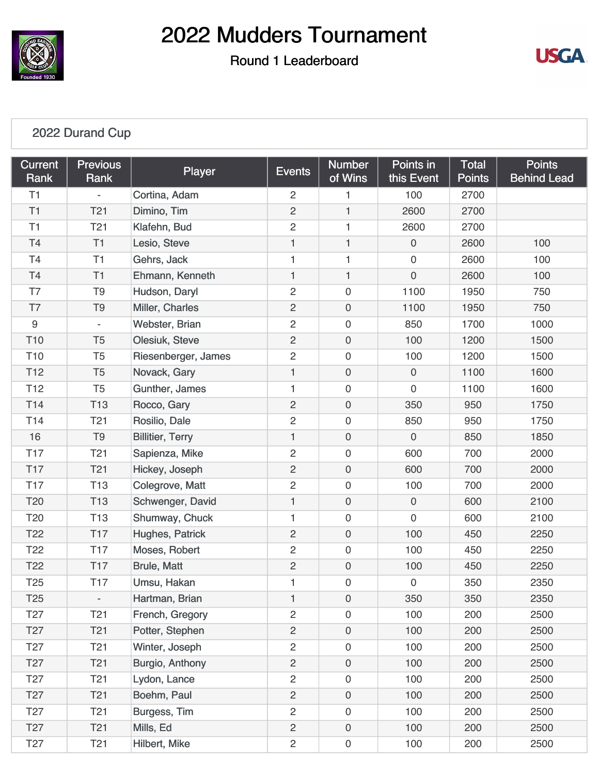

Round 1 Leaderboard



### [2022 Durand Cup](https://static.golfgenius.com/v2tournaments/season_points?point_category=8140723238138305598&round_id=8024874351864077501)

| <b>Current</b><br>Rank | <b>Previous</b><br>Rank  | Player                  | <b>Events</b>  | <b>Number</b><br>of Wins | Points in<br>this Event | <b>Total</b><br><b>Points</b> | <b>Points</b><br><b>Behind Lead</b> |
|------------------------|--------------------------|-------------------------|----------------|--------------------------|-------------------------|-------------------------------|-------------------------------------|
| T1                     |                          | Cortina, Adam           | $\overline{2}$ | 1                        | 100                     | 2700                          |                                     |
| T1                     | T21                      | Dimino, Tim             | $\overline{2}$ | $\mathbf{1}$             | 2600                    | 2700                          |                                     |
| T1                     | T <sub>21</sub>          | Klafehn, Bud            | $\overline{c}$ | 1                        | 2600                    | 2700                          |                                     |
| T <sub>4</sub>         | T1                       | Lesio, Steve            | $\mathbf{1}$   | $\mathbf{1}$             | $\mathbf 0$             | 2600                          | 100                                 |
| <b>T4</b>              | T1                       | Gehrs, Jack             | $\mathbf{1}$   | 1                        | $\mathbf 0$             | 2600                          | 100                                 |
| T <sub>4</sub>         | T1                       | Ehmann, Kenneth         | $\mathbf{1}$   | 1                        | $\mathbf 0$             | 2600                          | 100                                 |
| T7                     | T <sub>9</sub>           | Hudson, Daryl           | $\overline{c}$ | $\mathbf 0$              | 1100                    | 1950                          | 750                                 |
| T7                     | T <sub>9</sub>           | Miller, Charles         | $\sqrt{2}$     | $\mathbf 0$              | 1100                    | 1950                          | 750                                 |
| 9                      | $\overline{\phantom{a}}$ | Webster, Brian          | $\overline{c}$ | $\mathbf 0$              | 850                     | 1700                          | 1000                                |
| T <sub>10</sub>        | T <sub>5</sub>           | Olesiuk, Steve          | $\sqrt{2}$     | $\mathsf{O}\xspace$      | 100                     | 1200                          | 1500                                |
| T <sub>10</sub>        | T <sub>5</sub>           | Riesenberger, James     | $\overline{c}$ | $\mathbf 0$              | 100                     | 1200                          | 1500                                |
| T <sub>12</sub>        | T <sub>5</sub>           | Novack, Gary            | $\mathbf{1}$   | $\mathbf 0$              | $\mathbf 0$             | 1100                          | 1600                                |
| T <sub>12</sub>        | T <sub>5</sub>           | Gunther, James          | $\mathbf{1}$   | $\boldsymbol{0}$         | $\mathbf 0$             | 1100                          | 1600                                |
| T14                    | T <sub>13</sub>          | Rocco, Gary             | $\overline{2}$ | $\mathbf 0$              | 350                     | 950                           | 1750                                |
| T14                    | T <sub>21</sub>          | Rosilio, Dale           | $\overline{c}$ | $\mathbf 0$              | 850                     | 950                           | 1750                                |
| 16                     | T <sub>9</sub>           | <b>Billitier, Terry</b> | $\mathbf{1}$   | $\mathbf 0$              | $\overline{0}$          | 850                           | 1850                                |
| T <sub>17</sub>        | T <sub>21</sub>          | Sapienza, Mike          | $\overline{c}$ | $\mathbf 0$              | 600                     | 700                           | 2000                                |
| T17                    | T <sub>21</sub>          | Hickey, Joseph          | $\sqrt{2}$     | $\mathsf{O}\xspace$      | 600                     | 700                           | 2000                                |
| <b>T17</b>             | T <sub>13</sub>          | Colegrove, Matt         | $\overline{c}$ | $\mathbf 0$              | 100                     | 700                           | 2000                                |
| T <sub>20</sub>        | T <sub>13</sub>          | Schwenger, David        | $\mathbf{1}$   | $\overline{0}$           | $\mathbf 0$             | 600                           | 2100                                |
| T <sub>20</sub>        | T <sub>13</sub>          | Shumway, Chuck          | $\mathbf{1}$   | $\boldsymbol{0}$         | $\mathbf 0$             | 600                           | 2100                                |
| T <sub>22</sub>        | <b>T17</b>               | Hughes, Patrick         | $\sqrt{2}$     | $\mathbf 0$              | 100                     | 450                           | 2250                                |
| T <sub>22</sub>        | <b>T17</b>               | Moses, Robert           | $\overline{c}$ | $\mathbf 0$              | 100                     | 450                           | 2250                                |
| T <sub>22</sub>        | <b>T17</b>               | Brule, Matt             | $\sqrt{2}$     | $\boldsymbol{0}$         | 100                     | 450                           | 2250                                |
| T <sub>25</sub>        | <b>T17</b>               | Umsu, Hakan             | $\mathbf{1}$   | $\mathsf{O}\xspace$      | $\mathbf 0$             | 350                           | 2350                                |
| T <sub>25</sub>        | $\overline{\phantom{0}}$ | Hartman, Brian          | 1              | $\boldsymbol{0}$         | 350                     | 350                           | 2350                                |
| T <sub>27</sub>        | T <sub>21</sub>          | French, Gregory         | $\mathbf{2}$   | $\boldsymbol{0}$         | 100                     | 200                           | 2500                                |
| T <sub>27</sub>        | T <sub>21</sub>          | Potter, Stephen         | $\sqrt{2}$     | 0                        | 100                     | 200                           | 2500                                |
| T <sub>27</sub>        | T <sub>21</sub>          | Winter, Joseph          | $\overline{c}$ | $\boldsymbol{0}$         | 100                     | 200                           | 2500                                |
| T <sub>27</sub>        | T <sub>21</sub>          | Burgio, Anthony         | $\sqrt{2}$     | $\boldsymbol{0}$         | 100                     | 200                           | 2500                                |
| T <sub>27</sub>        | T <sub>21</sub>          | Lydon, Lance            | $\mathbf{2}$   | $\boldsymbol{0}$         | 100                     | 200                           | 2500                                |
| T <sub>27</sub>        | T <sub>21</sub>          | Boehm, Paul             | $\overline{c}$ | $\boldsymbol{0}$         | 100                     | 200                           | 2500                                |
| T <sub>27</sub>        | T <sub>21</sub>          | Burgess, Tim            | $\overline{c}$ | $\mathbf 0$              | 100                     | 200                           | 2500                                |
| T <sub>27</sub>        | T <sub>21</sub>          | Mills, Ed               | $\sqrt{2}$     | $\boldsymbol{0}$         | 100                     | 200                           | 2500                                |
| T <sub>27</sub>        | T <sub>21</sub>          | Hilbert, Mike           | $\overline{c}$ | $\boldsymbol{0}$         | 100                     | 200                           | 2500                                |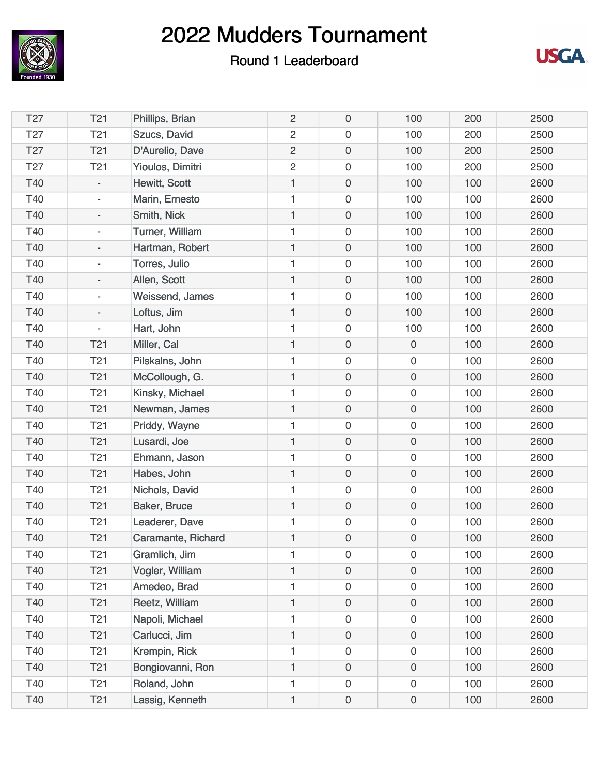

#### Round 1 Leaderboard



| T <sub>27</sub> | T <sub>21</sub>          | Phillips, Brian    | $\overline{2}$ | $\mathbf 0$         | 100                 | 200 | 2500 |
|-----------------|--------------------------|--------------------|----------------|---------------------|---------------------|-----|------|
| T <sub>27</sub> | T <sub>21</sub>          | Szucs, David       | $\overline{2}$ | $\mathbf 0$         | 100                 | 200 | 2500 |
| T <sub>27</sub> | T <sub>21</sub>          | D'Aurelio, Dave    | $\overline{c}$ | $\mathbf 0$         | 100                 | 200 | 2500 |
| T <sub>27</sub> | T <sub>21</sub>          | Yioulos, Dimitri   | 2              | $\boldsymbol{0}$    | 100                 | 200 | 2500 |
| T40             | $\overline{\phantom{a}}$ | Hewitt, Scott      | $\mathbf{1}$   | $\boldsymbol{0}$    | 100                 | 100 | 2600 |
| T40             | $\overline{\phantom{0}}$ | Marin, Ernesto     | 1              | $\mathbf 0$         | 100                 | 100 | 2600 |
| T40             | $\overline{a}$           | Smith, Nick        | $\mathbf{1}$   | $\mathbf 0$         | 100                 | 100 | 2600 |
| T40             | $\overline{\phantom{a}}$ | Turner, William    | 1              | $\mathbf 0$         | 100                 | 100 | 2600 |
| T40             | $\overline{\phantom{a}}$ | Hartman, Robert    | $\mathbf{1}$   | $\mathbf 0$         | 100                 | 100 | 2600 |
| T40             | $\overline{\phantom{0}}$ | Torres, Julio      | 1              | $\mathbf 0$         | 100                 | 100 | 2600 |
| T40             | $\overline{a}$           | Allen, Scott       | $\mathbf{1}$   | $\mathbf 0$         | 100                 | 100 | 2600 |
| T40             | $\overline{\phantom{a}}$ | Weissend, James    | 1              | $\boldsymbol{0}$    | 100                 | 100 | 2600 |
| T40             | $\overline{\phantom{a}}$ | Loftus, Jim        | $\mathbf{1}$   | $\mathsf{O}\xspace$ | 100                 | 100 | 2600 |
| T40             |                          | Hart, John         | 1              | $\mathbf 0$         | 100                 | 100 | 2600 |
| T40             | T <sub>21</sub>          | Miller, Cal        | $\mathbf{1}$   | $\mathbf 0$         | $\mathsf{O}\xspace$ | 100 | 2600 |
| T40             | T <sub>21</sub>          | Pilskalns, John    | 1              | $\mathbf 0$         | $\boldsymbol{0}$    | 100 | 2600 |
| T40             | T <sub>21</sub>          | McCollough, G.     | $\mathbf{1}$   | $\mathsf{O}\xspace$ | 0                   | 100 | 2600 |
| T40             | T <sub>21</sub>          | Kinsky, Michael    | 1              | $\mathbf 0$         | $\mathsf{O}\xspace$ | 100 | 2600 |
| T40             | T <sub>21</sub>          | Newman, James      | $\mathbf{1}$   | $\mathbf 0$         | 0                   | 100 | 2600 |
| T40             | T <sub>21</sub>          | Priddy, Wayne      | 1              | $\boldsymbol{0}$    | $\mathsf{O}\xspace$ | 100 | 2600 |
| T40             | T <sub>21</sub>          | Lusardi, Joe       | $\mathbf{1}$   | $\boldsymbol{0}$    | 0                   | 100 | 2600 |
| T40             | T <sub>21</sub>          | Ehmann, Jason      | 1              | $\mathbf 0$         | 0                   | 100 | 2600 |
| T40             | T <sub>21</sub>          | Habes, John        | $\mathbf{1}$   | $\mathbf 0$         | 0                   | 100 | 2600 |
| T40             | T <sub>21</sub>          | Nichols, David     | 1              | $\boldsymbol{0}$    | 0                   | 100 | 2600 |
| T40             | T <sub>21</sub>          | Baker, Bruce       | $\mathbf{1}$   | $\mathbf 0$         | 0                   | 100 | 2600 |
| T40             | T <sub>21</sub>          | Leaderer, Dave     | 1              | $\mathbf 0$         | $\mathsf{O}\xspace$ | 100 | 2600 |
| T40             | T <sub>21</sub>          | Caramante, Richard | 1              | $\mathbf 0$         | $\mathsf{O}\xspace$ | 100 | 2600 |
| T40             | T21                      | Gramlich, Jim      | 1              | 0                   | 0                   | 100 | 2600 |
| T40             | T21                      | Vogler, William    | 1              | $\mathsf{O}\xspace$ | 0                   | 100 | 2600 |
| T40             | T <sub>21</sub>          | Amedeo, Brad       | 1              | $\mathbf 0$         | $\mathsf{O}\xspace$ | 100 | 2600 |
| T40             | T <sub>21</sub>          | Reetz, William     | 1              | $\mathbf 0$         | 0                   | 100 | 2600 |
| T40             | T <sub>21</sub>          | Napoli, Michael    | 1              | $\boldsymbol{0}$    | 0                   | 100 | 2600 |
| T40             | T <sub>21</sub>          | Carlucci, Jim      | $\mathbf{1}$   | $\mathsf{O}\xspace$ | $\mathsf{O}\xspace$ | 100 | 2600 |
| T40             | T <sub>21</sub>          | Krempin, Rick      | 1              | $\boldsymbol{0}$    | $\mathsf{O}\xspace$ | 100 | 2600 |
| T40             | T <sub>21</sub>          | Bongiovanni, Ron   | 1              | $\mathbf 0$         | 0                   | 100 | 2600 |
| T40             | <b>T21</b>               | Roland, John       | 1              | $\boldsymbol{0}$    | $\mathbf 0$         | 100 | 2600 |
| T40             | T <sub>21</sub>          | Lassig, Kenneth    | $\mathbf{1}$   | $\boldsymbol{0}$    | $\mathsf{O}\xspace$ | 100 | 2600 |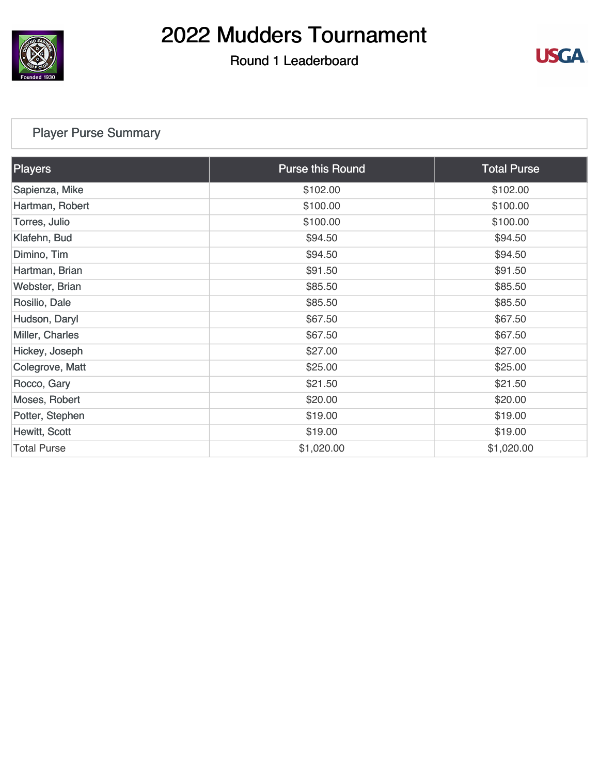

#### Round 1 Leaderboard



### [Player Purse Summary](https://static.golfgenius.com/v2tournaments/total_purse?league_id=8024874191205457230&round_id=8024874351864077501)

| Players            | <b>Purse this Round</b> | <b>Total Purse</b> |
|--------------------|-------------------------|--------------------|
| Sapienza, Mike     | \$102.00                | \$102.00           |
| Hartman, Robert    | \$100.00                | \$100.00           |
| Torres, Julio      | \$100.00                | \$100.00           |
| Klafehn, Bud       | \$94.50                 | \$94.50            |
| Dimino, Tim        | \$94.50                 | \$94.50            |
| Hartman, Brian     | \$91.50                 | \$91.50            |
| Webster, Brian     | \$85.50                 | \$85.50            |
| Rosilio, Dale      | \$85.50                 | \$85.50            |
| Hudson, Daryl      | \$67.50                 | \$67.50            |
| Miller, Charles    | \$67.50                 | \$67.50            |
| Hickey, Joseph     | \$27.00                 | \$27.00            |
| Colegrove, Matt    | \$25.00                 | \$25.00            |
| Rocco, Gary        | \$21.50                 | \$21.50            |
| Moses, Robert      | \$20.00                 | \$20.00            |
| Potter, Stephen    | \$19.00                 | \$19.00            |
| Hewitt, Scott      | \$19.00                 | \$19.00            |
| <b>Total Purse</b> | \$1,020.00              | \$1,020.00         |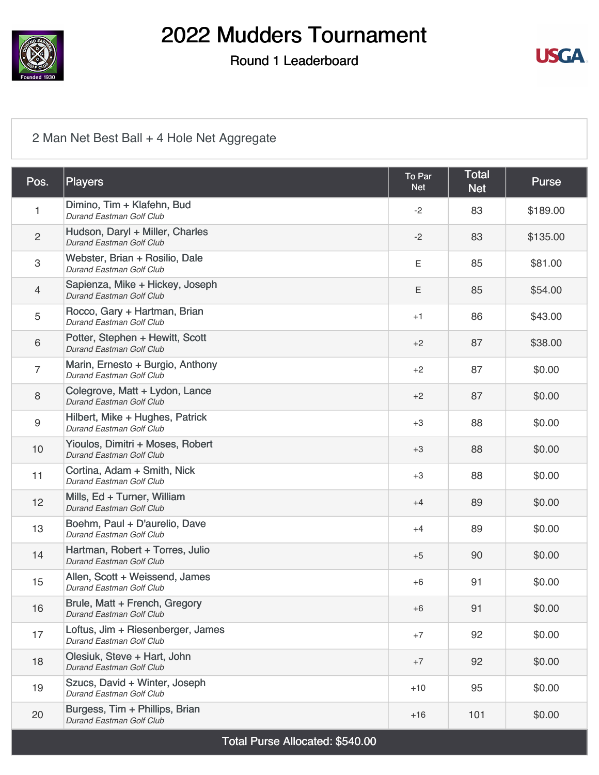

#### Round 1 Leaderboard



### [2 Man Net Best Ball + 4 Hole Net Aggregate](https://static.golfgenius.com/v2tournaments/8024874436152810532?called_from=&round_index=1)

| Pos.         | <b>Players</b>                                                | To Par<br><b>Net</b> | <b>Total</b><br><b>Net</b> | <b>Purse</b> |
|--------------|---------------------------------------------------------------|----------------------|----------------------------|--------------|
| 1            | Dimino, Tim + Klafehn, Bud<br>Durand Eastman Golf Club        | $-2$                 | 83                         | \$189.00     |
| $\mathbf{2}$ | Hudson, Daryl + Miller, Charles<br>Durand Eastman Golf Club   | $-2$                 | 83                         | \$135.00     |
| 3            | Webster, Brian + Rosilio, Dale<br>Durand Eastman Golf Club    | Ε                    | 85                         | \$81.00      |
| 4            | Sapienza, Mike + Hickey, Joseph<br>Durand Eastman Golf Club   | Ε                    | 85                         | \$54.00      |
| 5            | Rocco, Gary + Hartman, Brian<br>Durand Eastman Golf Club      | $+1$                 | 86                         | \$43.00      |
| 6            | Potter, Stephen + Hewitt, Scott<br>Durand Eastman Golf Club   | $+2$                 | 87                         | \$38.00      |
| 7            | Marin, Ernesto + Burgio, Anthony<br>Durand Eastman Golf Club  | $+2$                 | 87                         | \$0.00       |
| $\,8\,$      | Colegrove, Matt + Lydon, Lance<br>Durand Eastman Golf Club    | $+2$                 | 87                         | \$0.00       |
| 9            | Hilbert, Mike + Hughes, Patrick<br>Durand Eastman Golf Club   | $+3$                 | 88                         | \$0.00       |
| 10           | Yioulos, Dimitri + Moses, Robert<br>Durand Eastman Golf Club  | $+3$                 | 88                         | \$0.00       |
| 11           | Cortina, Adam + Smith, Nick<br>Durand Eastman Golf Club       | $+3$                 | 88                         | \$0.00       |
| 12           | Mills, Ed + Turner, William<br>Durand Eastman Golf Club       | $+4$                 | 89                         | \$0.00       |
| 13           | Boehm, Paul + D'aurelio, Dave<br>Durand Eastman Golf Club     | $+4$                 | 89                         | \$0.00       |
| 14           | Hartman, Robert + Torres, Julio<br>Durand Eastman Golf Club   | $+5$                 | 90                         | \$0.00       |
| 15           | Allen, Scott + Weissend, James<br>Durand Eastman Golf Club    | $+6$                 | 91                         | \$0.00       |
| 16           | Brule, Matt + French, Gregory<br>Durand Eastman Golf Club     | $+6$                 | 91                         | \$0.00       |
| 17           | Loftus, Jim + Riesenberger, James<br>Durand Eastman Golf Club | $+7$                 | 92                         | \$0.00       |
| 18           | Olesiuk, Steve + Hart, John<br>Durand Eastman Golf Club       | $+7$                 | 92                         | \$0.00       |
| 19           | Szucs, David + Winter, Joseph<br>Durand Eastman Golf Club     | $+10$                | 95                         | \$0.00       |
| 20           | Burgess, Tim + Phillips, Brian<br>Durand Eastman Golf Club    | $+16$                | 101                        | \$0.00       |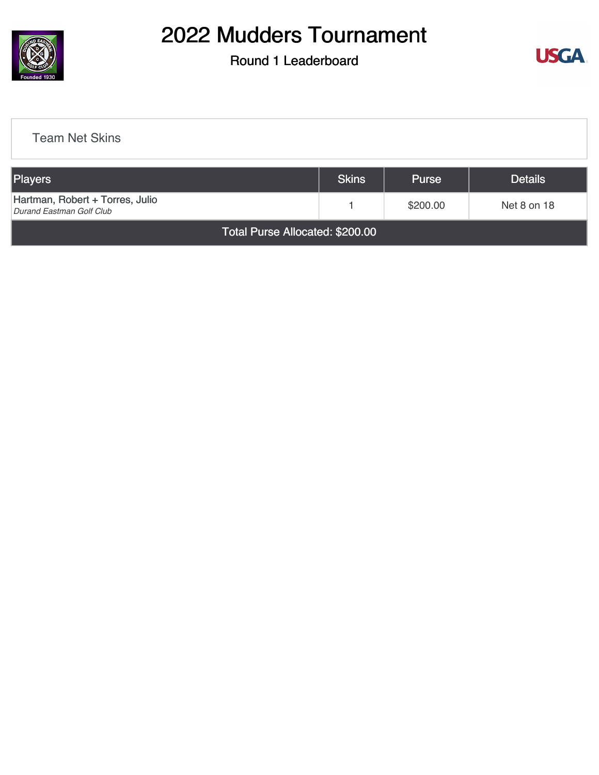

### Round 1 Leaderboard



| <b>Team Net Skins</b>                                       |              |              |                |  |
|-------------------------------------------------------------|--------------|--------------|----------------|--|
| Players                                                     | <b>Skins</b> | <b>Purse</b> | <b>Details</b> |  |
| Hartman, Robert + Torres, Julio<br>Durand Eastman Golf Club |              | \$200.00     | Net 8 on 18    |  |
| Total Purse Allocated: \$200.00                             |              |              |                |  |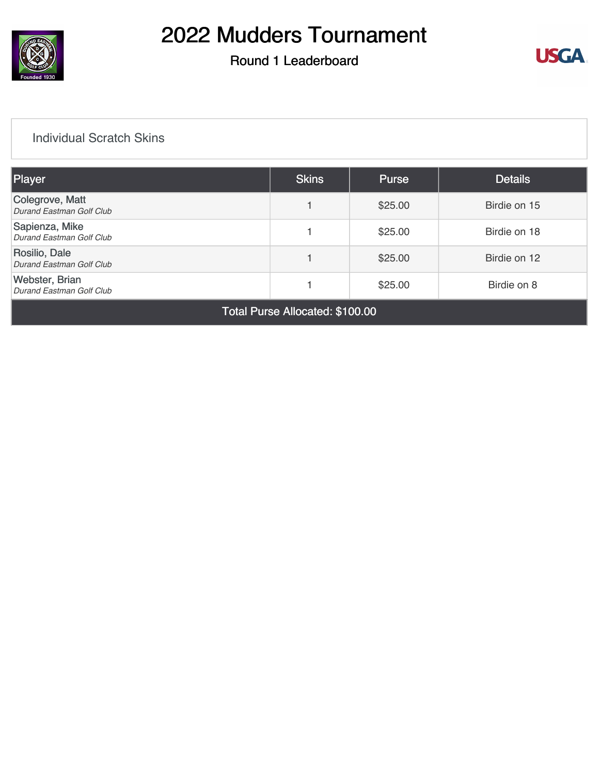

### Round 1 Leaderboard



#### [Individual Scratch Skins](https://static.golfgenius.com/v2tournaments/8489453830298164411?called_from=&round_index=1)

| Player                                                                                                                                                                                                                                                                                                                                  | <b>Skins</b> | <b>Purse</b> | <b>Details</b> |  |
|-----------------------------------------------------------------------------------------------------------------------------------------------------------------------------------------------------------------------------------------------------------------------------------------------------------------------------------------|--------------|--------------|----------------|--|
| Colegrove, Matt<br>Durand Eastman Golf Club                                                                                                                                                                                                                                                                                             |              | \$25.00      | Birdie on 15   |  |
| Sapienza, Mike<br>Durand Eastman Golf Club                                                                                                                                                                                                                                                                                              |              | \$25.00      | Birdie on 18   |  |
| Rosilio, Dale<br>Durand Eastman Golf Club                                                                                                                                                                                                                                                                                               |              | \$25.00      | Birdie on 12   |  |
| Webster, Brian<br><b>Durand Eastman Golf Club</b>                                                                                                                                                                                                                                                                                       |              | \$25.00      | Birdie on 8    |  |
| $\mathbf{a}$ $\mathbf{b}$ $\mathbf{c}$ $\mathbf{d}$ $\mathbf{c}$ $\mathbf{d}$ $\mathbf{c}$ $\mathbf{c}$ $\mathbf{d}$ $\mathbf{c}$ $\mathbf{d}$ $\mathbf{c}$ $\mathbf{c}$ $\mathbf{d}$ $\mathbf{c}$ $\mathbf{c}$ $\mathbf{d}$ $\mathbf{c}$ $\mathbf{c}$ $\mathbf{c}$ $\mathbf{c}$ $\mathbf{c}$ $\mathbf{c}$ $\mathbf{c}$ $\mathbf{$<br>_ |              |              |                |  |

Total Purse Allocated: \$100.00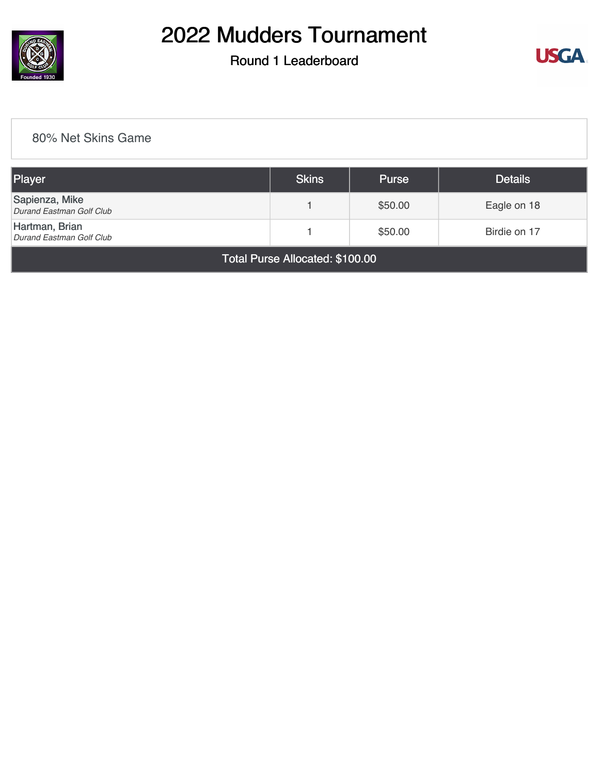

### Round 1 Leaderboard



#### [80% Net Skins Game](https://static.golfgenius.com/v2tournaments/8489457349084339388?called_from=&round_index=1)

| Player                                     | <b>Skins</b> | <b>Purse</b> | <b>Details</b> |
|--------------------------------------------|--------------|--------------|----------------|
| Sapienza, Mike<br>Durand Eastman Golf Club |              | \$50.00      | Eagle on 18    |
| Hartman, Brian<br>Durand Eastman Golf Club |              | \$50.00      | Birdie on 17   |

Total Purse Allocated: \$100.00